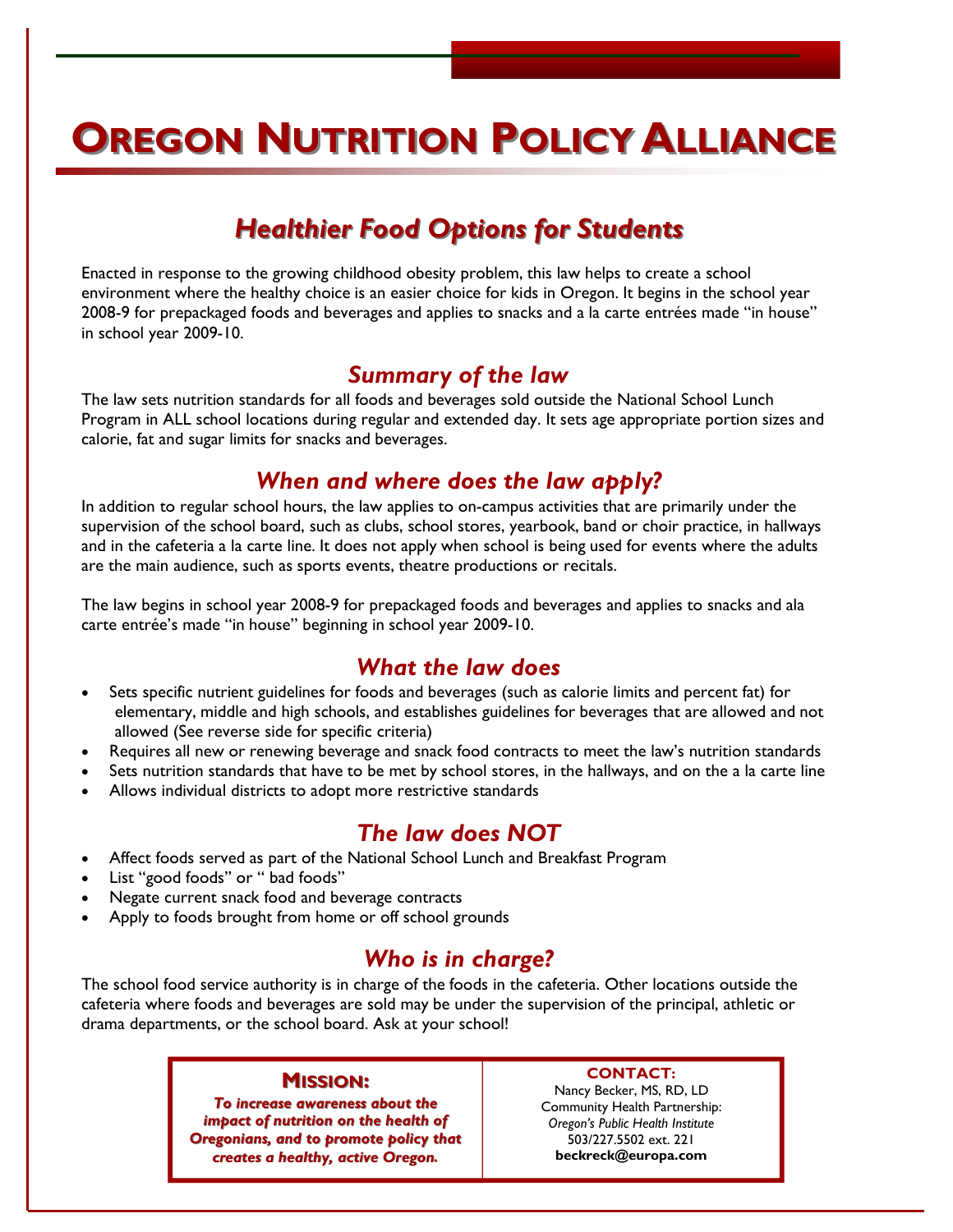# **OREGON NUTRITION POLICY ALLIANCE**

### *Healthier Food Options for Students Healthier Food Options for Students*

Enacted in response to the growing childhood obesity problem, this law helps to create a school environment where the healthy choice is an easier choice for kids in Oregon. It begins in the school year 2008-9 for prepackaged foods and beverages and applies to snacks and a la carte entrées made "in house" in school year 2009-10.

### *Summary of the law*

The law sets nutrition standards for all foods and beverages sold outside the National School Lunch Program in ALL school locations during regular and extended day. It sets age appropriate portion sizes and calorie, fat and sugar limits for snacks and beverages.

### *When and where does the law apply?*

In addition to regular school hours, the law applies to on-campus activities that are primarily under the supervision of the school board, such as clubs, school stores, yearbook, band or choir practice, in hallways and in the cafeteria a la carte line. It does not apply when school is being used for events where the adults are the main audience, such as sports events, theatre productions or recitals.

The law begins in school year 2008-9 for prepackaged foods and beverages and applies to snacks and ala carte entrée's made "in house" beginning in school year 2009-10.

### *What the law does*

- Sets specific nutrient guidelines for foods and beverages (such as calorie limits and percent fat) for elementary, middle and high schools, and establishes guidelines for beverages that are allowed and not allowed (See reverse side for specific criteria)
- Requires all new or renewing beverage and snack food contracts to meet the law's nutrition standards
- Sets nutrition standards that have to be met by school stores, in the hallways, and on the a la carte line
- Allows individual districts to adopt more restrictive standards

### *The law does NOT*

- Affect foods served as part of the National School Lunch and Breakfast Program
- List "good foods'' or " bad foods"
- Negate current snack food and beverage contracts
- Apply to foods brought from home or off school grounds

### *Who is in charge?*

The school food service authority is in charge of the foods in the cafeteria. Other locations outside the cafeteria where foods and beverages are sold may be under the supervision of the principal, athletic or drama departments, or the school board. Ask at your school!

#### **MISSION:**

*To increase awareness about the To increase awareness about the impact of nutrition on the health of Oregonians, and to promote policy that creates a healthy, active Oregon.*

#### **CONTACT:**

Nancy Becker, MS, RD, LD Community Health Partnership: *Oregon's Public Health Institute* 503/227.5502 ext. 221 **beckreck@europa.com**